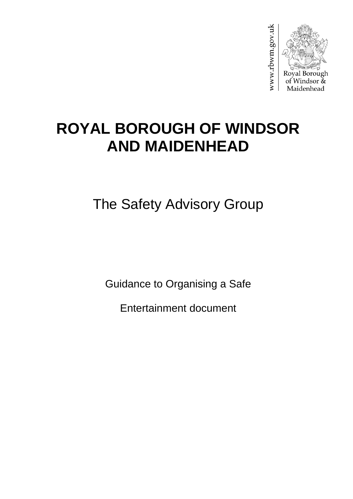

# **ROYAL BOROUGH OF WINDSOR AND MAIDENHEAD**

The Safety Advisory Group

Guidance to Organising a Safe

Entertainment document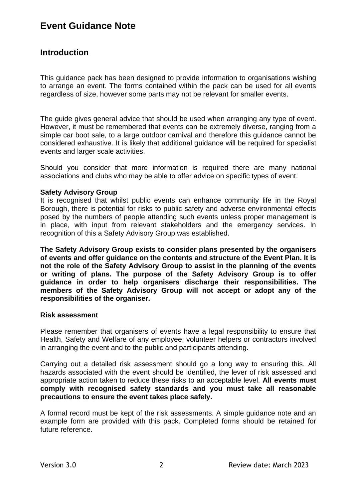## **Event Guidance Note**

## **Introduction**

This guidance pack has been designed to provide information to organisations wishing to arrange an event. The forms contained within the pack can be used for all events regardless of size, however some parts may not be relevant for smaller events.

The guide gives general advice that should be used when arranging any type of event. However, it must be remembered that events can be extremely diverse, ranging from a simple car boot sale, to a large outdoor carnival and therefore this guidance cannot be considered exhaustive. It is likely that additional guidance will be required for specialist events and larger scale activities.

Should you consider that more information is required there are many national associations and clubs who may be able to offer advice on specific types of event.

#### **Safety Advisory Group**

It is recognised that whilst public events can enhance community life in the Royal Borough, there is potential for risks to public safety and adverse environmental effects posed by the numbers of people attending such events unless proper management is in place, with input from relevant stakeholders and the emergency services. In recognition of this a Safety Advisory Group was established.

**The Safety Advisory Group exists to consider plans presented by the organisers of events and offer guidance on the contents and structure of the Event Plan. It is not the role of the Safety Advisory Group to assist in the planning of the events or writing of plans. The purpose of the Safety Advisory Group is to offer guidance in order to help organisers discharge their responsibilities. The members of the Safety Advisory Group will not accept or adopt any of the responsibilities of the organiser.**

#### **Risk assessment**

Please remember that organisers of events have a legal responsibility to ensure that Health, Safety and Welfare of any employee, volunteer helpers or contractors involved in arranging the event and to the public and participants attending.

Carrying out a detailed risk assessment should go a long way to ensuring this. All hazards associated with the event should be identified, the lever of risk assessed and appropriate action taken to reduce these risks to an acceptable level. **All events must comply with recognised safety standards and you must take all reasonable precautions to ensure the event takes place safely.**

A formal record must be kept of the risk assessments. A simple guidance note and an example form are provided with this pack. Completed forms should be retained for future reference.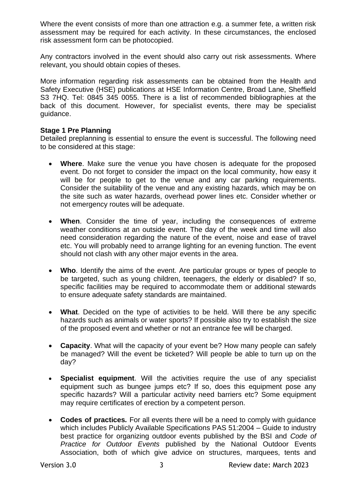Where the event consists of more than one attraction e.g. a summer fete, a written risk assessment may be required for each activity. In these circumstances, the enclosed risk assessment form can be photocopied.

Any contractors involved in the event should also carry out risk assessments. Where relevant, you should obtain copies of theses.

More information regarding risk assessments can be obtained from the Health and Safety Executive (HSE) publications at HSE Information Centre, Broad Lane, Sheffield S3 7HQ. Tel: 0845 345 0055. There is a list of recommended bibliographies at the back of this document. However, for specialist events, there may be specialist guidance.

## **Stage 1 Pre Planning**

Detailed preplanning is essential to ensure the event is successful. The following need to be considered at this stage:

- **Where**. Make sure the venue you have chosen is adequate for the proposed event. Do not forget to consider the impact on the local community, how easy it will be for people to get to the venue and any car parking requirements. Consider the suitability of the venue and any existing hazards, which may be on the site such as water hazards, overhead power lines etc. Consider whether or not emergency routes will be adequate.
- **When**. Consider the time of year, including the consequences of extreme weather conditions at an outside event. The day of the week and time will also need consideration regarding the nature of the event, noise and ease of travel etc. You will probably need to arrange lighting for an evening function. The event should not clash with any other major events in the area.
- **Who**. Identify the aims of the event. Are particular groups or types of people to be targeted, such as young children, teenagers, the elderly or disabled? If so, specific facilities may be required to accommodate them or additional stewards to ensure adequate safety standards are maintained.
- **What**. Decided on the type of activities to be held. Will there be any specific hazards such as animals or water sports? If possible also try to establish the size of the proposed event and whether or not an entrance fee will be charged.
- **Capacity**. What will the capacity of your event be? How many people can safely be managed? Will the event be ticketed? Will people be able to turn up on the day?
- **Specialist equipment**. Will the activities require the use of any specialist equipment such as bungee jumps etc? If so, does this equipment pose any specific hazards? Will a particular activity need barriers etc? Some equipment may require certificates of erection by a competent person.
- **Codes of practices***.* For all events there will be a need to comply with guidance which includes Publicly Available Specifications PAS 51:2004 – Guide to industry best practice for organizing outdoor events published by the BSI and *Code of Practice for Outdoor Events* published by the National Outdoor Events Association, both of which give advice on structures, marquees, tents and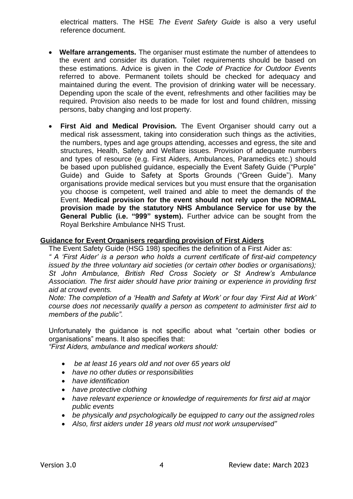electrical matters. The HSE *The Event Safety Guide* is also a very useful reference document.

- **Welfare arrangements***.* The organiser must estimate the number of attendees to the event and consider its duration. Toilet requirements should be based on these estimations. Advice is given in the *Code of Practice for Outdoor Events*  referred to above. Permanent toilets should be checked for adequacy and maintained during the event. The provision of drinking water will be necessary. Depending upon the scale of the event, refreshments and other facilities may be required. Provision also needs to be made for lost and found children, missing persons, baby changing and lost property.
- **First Aid and Medical Provision***.* The Event Organiser should carry out a medical risk assessment, taking into consideration such things as the activities, the numbers, types and age groups attending, accesses and egress, the site and structures, Health, Safety and Welfare issues. Provision of adequate numbers and types of resource (e.g. First Aiders, Ambulances, Paramedics etc.) should be based upon published guidance, especially the Event Safety Guide ("Purple" Guide) and Guide to Safety at Sports Grounds ("Green Guide"). Many organisations provide medical services but you must ensure that the organisation you choose is competent, well trained and able to meet the demands of the Event. **Medical provision for the event should not rely upon the NORMAL provision made by the statutory NHS Ambulance Service for use by the General Public (i.e. "999" system).** Further advice can be sought from the Royal Berkshire Ambulance NHS Trust.

#### **Guidance for Event Organisers regarding provision of First Aiders**

The Event Safety Guide (HSG 198) specifies the definition of a First Aider as:

*" A 'First Aider' is a person who holds a current certificate of first-aid competency issued by the three voluntary aid societies (or certain other bodies or organisations); St John Ambulance, British Red Cross Society or St Andrew's Ambulance Association. The first aider should have prior training or experience in providing first aid at crowd events.*

*Note: The completion of a 'Health and Safety at Work' or four day 'First Aid at Work' course does not necessarily qualify a person as competent to administer first aid to members of the public".*

Unfortunately the guidance is not specific about what "certain other bodies or organisations" means. It also specifies that:

*"First Aiders, ambulance and medical workers should:*

- *be at least 16 years old and not over 65 years old*
- *have no other duties or responsibilities*
- *have identification*
- *have protective clothing*
- *have relevant experience or knowledge of requirements for first aid at major public events*
- *be physically and psychologically be equipped to carry out the assigned roles*
- *Also, first aiders under 18 years old must not work unsupervised"*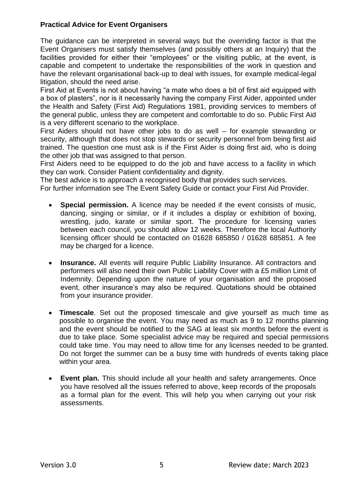## **Practical Advice for Event Organisers**

The guidance can be interpreted in several ways but the overriding factor is that the Event Organisers must satisfy themselves (and possibly others at an Inquiry) that the facilities provided for either their "employees" or the visiting public, at the event, is capable and competent to undertake the responsibilities of the work in question and have the relevant organisational back-up to deal with issues, for example medical-legal litigation, should the need arise.

First Aid at Events is not about having "a mate who does a bit of first aid equipped with a box of plasters", nor is it necessarily having the company First Aider, appointed under the Health and Safety (First Aid) Regulations 1981, providing services to members of the general public, unless they are competent and comfortable to do so. Public First Aid is a very different scenario to the workplace.

First Aiders should not have other jobs to do as well – for example stewarding or security, although that does not stop stewards or security personnel from being first aid trained. The question one must ask is if the First Aider is doing first aid, who is doing the other job that was assigned to that person.

First Aiders need to be equipped to do the job and have access to a facility in which they can work. Consider Patient confidentiality and dignity.

The best advice is to approach a recognised body that provides such services.

For further information see The Event Safety Guide or contact your First Aid Provider.

- **Special permission.** A licence may be needed if the event consists of music, dancing, singing or similar, or if it includes a display or exhibition of boxing, wrestling, judo, karate or similar sport. The procedure for licensing varies between each council, you should allow 12 weeks. Therefore the local Authority licensing officer should be contacted on 01628 685850 / 01628 685851. A fee may be charged for a licence.
- **Insurance.** All events will require Public Liability Insurance. All contractors and performers will also need their own Public Liability Cover with a £5 million Limit of Indemnity. Depending upon the nature of your organisation and the proposed event, other insurance's may also be required. Quotations should be obtained from your insurance provider.
- **Timescale**. Set out the proposed timescale and give yourself as much time as possible to organise the event. You may need as much as 9 to 12 months planning and the event should be notified to the SAG at least six months before the event is due to take place. Some specialist advice may be required and special permissions could take time. You may need to allow time for any licenses needed to be granted. Do not forget the summer can be a busy time with hundreds of events taking place within your area.
- **Event plan.** This should include all your health and safety arrangements. Once you have resolved all the issues referred to above, keep records of the proposals as a formal plan for the event. This will help you when carrying out your risk assessments.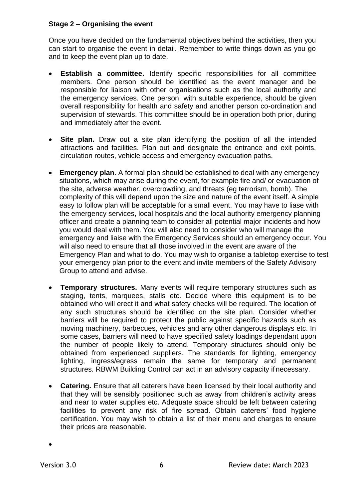### **Stage 2 – Organising the event**

Once you have decided on the fundamental objectives behind the activities, then you can start to organise the event in detail. Remember to write things down as you go and to keep the event plan up to date.

- **Establish a committee.** Identify specific responsibilities for all committee members. One person should be identified as the event manager and be responsible for liaison with other organisations such as the local authority and the emergency services. One person, with suitable experience, should be given overall responsibility for health and safety and another person co-ordination and supervision of stewards. This committee should be in operation both prior, during and immediately after the event.
- **Site plan.** Draw out a site plan identifying the position of all the intended attractions and facilities. Plan out and designate the entrance and exit points, circulation routes, vehicle access and emergency evacuation paths.
- **Emergency plan**. A formal plan should be established to deal with any emergency situations, which may arise during the event, for example fire and/ or evacuation of the site, adverse weather, overcrowding, and threats (eg terrorism, bomb). The complexity of this will depend upon the size and nature of the event itself. A simple easy to follow plan will be acceptable for a small event. You may have to liase with the emergency services, local hospitals and the local authority emergency planning officer and create a planning team to consider all potential major incidents and how you would deal with them. You will also need to consider who will manage the emergency and liaise with the Emergency Services should an emergency occur. You will also need to ensure that all those involved in the event are aware of the Emergency Plan and what to do. You may wish to organise a tabletop exercise to test your emergency plan prior to the event and invite members of the Safety Advisory Group to attend and advise.
- **Temporary structures.** Many events will require temporary structures such as staging, tents, marquees, stalls etc. Decide where this equipment is to be obtained who will erect it and what safety checks will be required. The location of any such structures should be identified on the site plan. Consider whether barriers will be required to protect the public against specific hazards such as moving machinery, barbecues, vehicles and any other dangerous displays etc. In some cases, barriers will need to have specified safety loadings dependant upon the number of people likely to attend. Temporary structures should only be obtained from experienced suppliers. The standards for lighting, emergency lighting, ingress/egress remain the same for temporary and permanent structures. RBWM Building Control can act in an advisory capacity if necessary.
- **Catering.** Ensure that all caterers have been licensed by their local authority and that they will be sensibly positioned such as away from children's activity areas and near to water supplies etc. Adequate space should be left between catering facilities to prevent any risk of fire spread. Obtain caterers' food hygiene certification. You may wish to obtain a list of their menu and charges to ensure their prices are reasonable.

•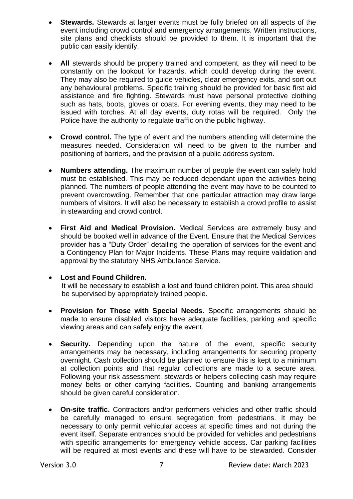- **Stewards.** Stewards at larger events must be fully briefed on all aspects of the event including crowd control and emergency arrangements. Written instructions, site plans and checklists should be provided to them. It is important that the public can easily identify.
- All stewards should be properly trained and competent, as they will need to be constantly on the lookout for hazards, which could develop during the event. They may also be required to guide vehicles, clear emergency exits, and sort out any behavioural problems. Specific training should be provided for basic first aid assistance and fire fighting. Stewards must have personal protective clothing such as hats, boots, gloves or coats. For evening events, they may need to be issued with torches. At all day events, duty rotas will be required. Only the Police have the authority to regulate traffic on the public highway.
- **Crowd control.** The type of event and the numbers attending will determine the measures needed. Consideration will need to be given to the number and positioning of barriers, and the provision of a public address system.
- **Numbers attending.** The maximum number of people the event can safely hold must be established. This may be reduced dependant upon the activities being planned. The numbers of people attending the event may have to be counted to prevent overcrowding. Remember that one particular attraction may draw large numbers of visitors. It will also be necessary to establish a crowd profile to assist in stewarding and crowd control.
- **First Aid and Medical Provision.** Medical Services are extremely busy and should be booked well in advance of the Event. Ensure that the Medical Services provider has a "Duty Order" detailing the operation of services for the event and a Contingency Plan for Major Incidents. These Plans may require validation and approval by the statutory NHS Ambulance Service.

## • **Lost and Found Children.**

It will be necessary to establish a lost and found children point. This area should be supervised by appropriately trained people.

- **Provision for Those with Special Needs.** Specific arrangements should be made to ensure disabled visitors have adequate facilities, parking and specific viewing areas and can safely enjoy the event.
- **Security.** Depending upon the nature of the event, specific security arrangements may be necessary, including arrangements for securing property overnight. Cash collection should be planned to ensure this is kept to a minimum at collection points and that regular collections are made to a secure area. Following your risk assessment, stewards or helpers collecting cash may require money belts or other carrying facilities. Counting and banking arrangements should be given careful consideration.
- **On-site traffic.** Contractors and/or performers vehicles and other traffic should be carefully managed to ensure segregation from pedestrians. It may be necessary to only permit vehicular access at specific times and not during the event itself. Separate entrances should be provided for vehicles and pedestrians with specific arrangements for emergency vehicle access. Car parking facilities will be required at most events and these will have to be stewarded. Consider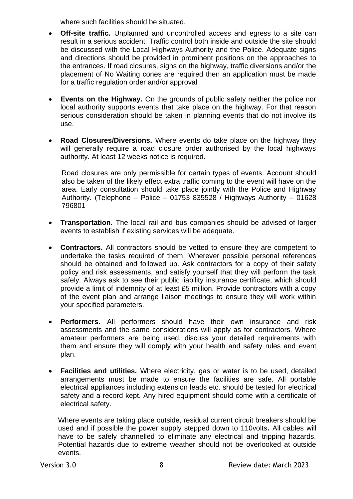where such facilities should be situated.

- **Off-site traffic.** Unplanned and uncontrolled access and egress to a site can result in a serious accident. Traffic control both inside and outside the site should be discussed with the Local Highways Authority and the Police. Adequate signs and directions should be provided in prominent positions on the approaches to the entrances. If road closures, signs on the highway, traffic diversions and/or the placement of No Waiting cones are required then an application must be made for a traffic regulation order and/or approval
- **Events on the Highway.** On the grounds of public safety neither the police nor local authority supports events that take place on the highway. For that reason serious consideration should be taken in planning events that do not involve its use.
- **Road Closures/Diversions.** Where events do take place on the highway they will generally require a road closure order authorised by the local highways authority. At least 12 weeks notice is required.

Road closures are only permissible for certain types of events. Account should also be taken of the likely effect extra traffic coming to the event will have on the area. Early consultation should take place jointly with the Police and Highway Authority. (Telephone – Police – 01753 835528 / Highways Authority – 01628 796801

- **Transportation.** The local rail and bus companies should be advised of larger events to establish if existing services will be adequate.
- **Contractors.** All contractors should be vetted to ensure they are competent to undertake the tasks required of them. Wherever possible personal references should be obtained and followed up. Ask contractors for a copy of their safety policy and risk assessments, and satisfy yourself that they will perform the task safely. Always ask to see their public liability insurance certificate, which should provide a limit of indemnity of at least £5 million. Provide contractors with a copy of the event plan and arrange liaison meetings to ensure they will work within your specified parameters.
- **Performers.** All performers should have their own insurance and risk assessments and the same considerations will apply as for contractors. Where amateur performers are being used, discuss your detailed requirements with them and ensure they will comply with your health and safety rules and event plan.
- **Facilities and utilities.** Where electricity, gas or water is to be used, detailed arrangements must be made to ensure the facilities are safe. All portable electrical appliances including extension leads etc. should be tested for electrical safety and a record kept. Any hired equipment should come with a certificate of electrical safety.

Where events are taking place outside, residual current circuit breakers should be used and if possible the power supply stepped down to 110volts**.** All cables will have to be safely channelled to eliminate any electrical and tripping hazards. Potential hazards due to extreme weather should not be overlooked at outside events.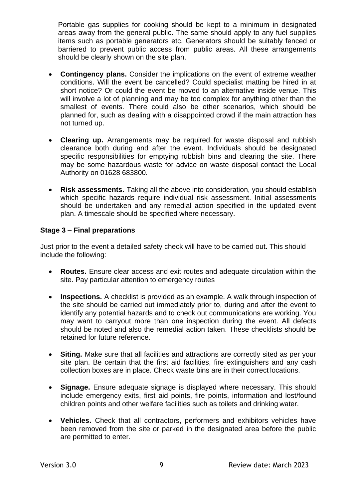Portable gas supplies for cooking should be kept to a minimum in designated areas away from the general public. The same should apply to any fuel supplies items such as portable generators etc. Generators should be suitably fenced or barriered to prevent public access from public areas. All these arrangements should be clearly shown on the site plan.

- **Contingency plans.** Consider the implications on the event of extreme weather conditions. Will the event be cancelled? Could specialist matting be hired in at short notice? Or could the event be moved to an alternative inside venue. This will involve a lot of planning and may be too complex for anything other than the smallest of events. There could also be other scenarios, which should be planned for, such as dealing with a disappointed crowd if the main attraction has not turned up.
- **Clearing up.** Arrangements may be required for waste disposal and rubbish clearance both during and after the event. Individuals should be designated specific responsibilities for emptying rubbish bins and clearing the site. There may be some hazardous waste for advice on waste disposal contact the Local Authority on 01628 683800.
- **Risk assessments.** Taking all the above into consideration, you should establish which specific hazards require individual risk assessment. Initial assessments should be undertaken and any remedial action specified in the updated event plan. A timescale should be specified where necessary.

## **Stage 3 – Final preparations**

Just prior to the event a detailed safety check will have to be carried out. This should include the following:

- **Routes.** Ensure clear access and exit routes and adequate circulation within the site. Pay particular attention to emergency routes
- **Inspections.** A checklist is provided as an example. A walk through inspection of the site should be carried out immediately prior to, during and after the event to identify any potential hazards and to check out communications are working. You may want to carryout more than one inspection during the event. All defects should be noted and also the remedial action taken. These checklists should be retained for future reference.
- **Siting.** Make sure that all facilities and attractions are correctly sited as per your site plan. Be certain that the first aid facilities, fire extinguishers and any cash collection boxes are in place. Check waste bins are in their correct locations.
- **Signage.** Ensure adequate signage is displayed where necessary. This should include emergency exits, first aid points, fire points, information and lost/found children points and other welfare facilities such as toilets and drinking water.
- **Vehicles.** Check that all contractors, performers and exhibitors vehicles have been removed from the site or parked in the designated area before the public are permitted to enter.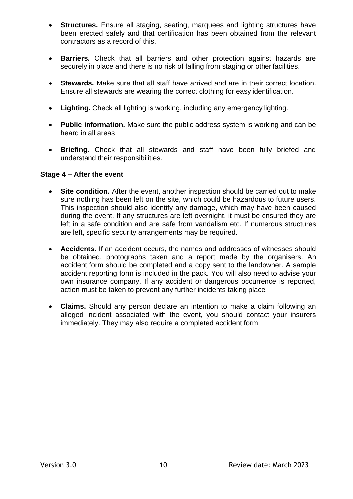- **Structures.** Ensure all staging, seating, marquees and lighting structures have been erected safely and that certification has been obtained from the relevant contractors as a record of this.
- **Barriers.** Check that all barriers and other protection against hazards are securely in place and there is no risk of falling from staging or other facilities.
- **Stewards.** Make sure that all staff have arrived and are in their correct location. Ensure all stewards are wearing the correct clothing for easy identification.
- **Lighting.** Check all lighting is working, including any emergency lighting.
- **Public information.** Make sure the public address system is working and can be heard in all areas
- **Briefing.** Check that all stewards and staff have been fully briefed and understand their responsibilities.

#### **Stage 4 – After the event**

- **Site condition.** After the event, another inspection should be carried out to make sure nothing has been left on the site, which could be hazardous to future users. This inspection should also identify any damage, which may have been caused during the event. If any structures are left overnight, it must be ensured they are left in a safe condition and are safe from vandalism etc. If numerous structures are left, specific security arrangements may be required.
- **Accidents.** If an accident occurs, the names and addresses of witnesses should be obtained, photographs taken and a report made by the organisers. An accident form should be completed and a copy sent to the landowner. A sample accident reporting form is included in the pack. You will also need to advise your own insurance company. If any accident or dangerous occurrence is reported, action must be taken to prevent any further incidents taking place.
- **Claims.** Should any person declare an intention to make a claim following an alleged incident associated with the event, you should contact your insurers immediately. They may also require a completed accident form.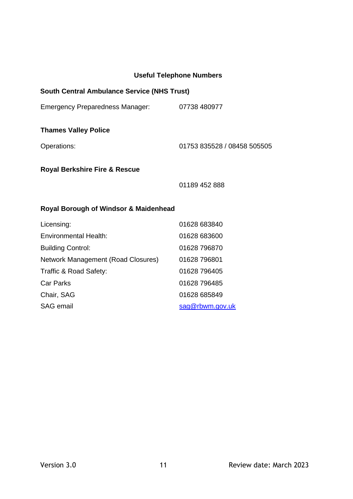## **Useful Telephone Numbers**

| <b>South Central Ambulance Service (NHS Trust)</b> |
|----------------------------------------------------|
| 07738 480977                                       |
|                                                    |
| 01753 835528 / 08458 505505                        |
|                                                    |
| 01189 452 888                                      |
|                                                    |
| 01628 683840                                       |
| 01628 683600                                       |
| 01628 796870                                       |
| 01628 796801                                       |
| 01628 796405                                       |
| 01628 796485                                       |
|                                                    |
| 01628 685849                                       |
|                                                    |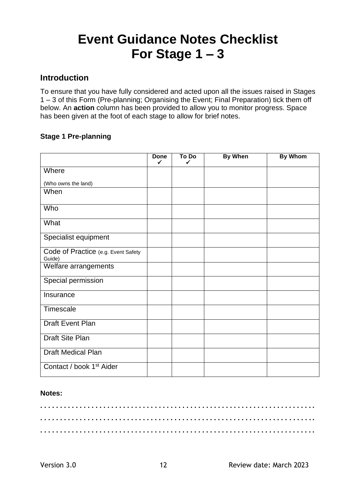## **Event Guidance Notes Checklist For Stage 1 – 3**

## **Introduction**

To ensure that you have fully considered and acted upon all the issues raised in Stages 1 – 3 of this Form (Pre-planning; Organising the Event; Final Preparation) tick them off below. An **action** column has been provided to allow you to monitor progress. Space has been given at the foot of each stage to allow for brief notes.

## **Stage 1 Pre-planning**

|                                               | <b>Done</b><br>✓ | To Do<br>✓ | <b>By When</b> | <b>By Whom</b> |
|-----------------------------------------------|------------------|------------|----------------|----------------|
| Where                                         |                  |            |                |                |
| (Who owns the land)                           |                  |            |                |                |
| When                                          |                  |            |                |                |
| Who                                           |                  |            |                |                |
| What                                          |                  |            |                |                |
| Specialist equipment                          |                  |            |                |                |
| Code of Practice (e.g. Event Safety<br>Guide) |                  |            |                |                |
| Welfare arrangements                          |                  |            |                |                |
| Special permission                            |                  |            |                |                |
| Insurance                                     |                  |            |                |                |
| Timescale                                     |                  |            |                |                |
| Draft Event Plan                              |                  |            |                |                |
| Draft Site Plan                               |                  |            |                |                |
| <b>Draft Medical Plan</b>                     |                  |            |                |                |
| Contact / book 1 <sup>st</sup> Aider          |                  |            |                |                |

### **Notes:**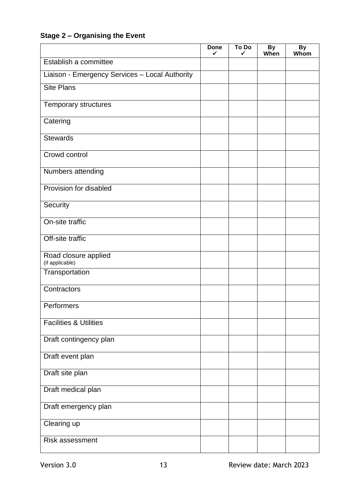## **Stage 2 – Organising the Event**

|                                                | <b>Done</b><br>✓ | To Do<br>✓ | <b>By</b><br>When | By<br>Whom |
|------------------------------------------------|------------------|------------|-------------------|------------|
| Establish a committee                          |                  |            |                   |            |
| Liaison - Emergency Services - Local Authority |                  |            |                   |            |
| <b>Site Plans</b>                              |                  |            |                   |            |
| Temporary structures                           |                  |            |                   |            |
| Catering                                       |                  |            |                   |            |
| <b>Stewards</b>                                |                  |            |                   |            |
| Crowd control                                  |                  |            |                   |            |
| Numbers attending                              |                  |            |                   |            |
| Provision for disabled                         |                  |            |                   |            |
| Security                                       |                  |            |                   |            |
| On-site traffic                                |                  |            |                   |            |
| Off-site traffic                               |                  |            |                   |            |
| Road closure applied<br>(if applicable)        |                  |            |                   |            |
| Transportation                                 |                  |            |                   |            |
| Contractors                                    |                  |            |                   |            |
| Performers                                     |                  |            |                   |            |
| <b>Facilities &amp; Utilities</b>              |                  |            |                   |            |
| Draft contingency plan                         |                  |            |                   |            |
| Draft event plan                               |                  |            |                   |            |
| Draft site plan                                |                  |            |                   |            |
| Draft medical plan                             |                  |            |                   |            |
| Draft emergency plan                           |                  |            |                   |            |
| Clearing up                                    |                  |            |                   |            |
| Risk assessment                                |                  |            |                   |            |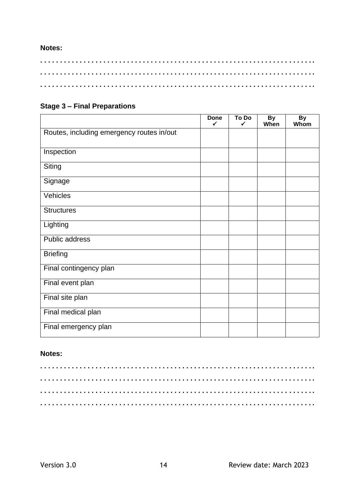#### **Notes:**

## **Stage 3 – Final Preparations**

|                                           | <b>Done</b><br>$\checkmark$ | To Do<br>✓ | <b>By</b><br>When | By<br>Whom |
|-------------------------------------------|-----------------------------|------------|-------------------|------------|
| Routes, including emergency routes in/out |                             |            |                   |            |
| Inspection                                |                             |            |                   |            |
| Siting                                    |                             |            |                   |            |
| Signage                                   |                             |            |                   |            |
| Vehicles                                  |                             |            |                   |            |
| <b>Structures</b>                         |                             |            |                   |            |
| Lighting                                  |                             |            |                   |            |
| Public address                            |                             |            |                   |            |
| <b>Briefing</b>                           |                             |            |                   |            |
| Final contingency plan                    |                             |            |                   |            |
| Final event plan                          |                             |            |                   |            |
| Final site plan                           |                             |            |                   |            |
| Final medical plan                        |                             |            |                   |            |
| Final emergency plan                      |                             |            |                   |            |

## **Notes:**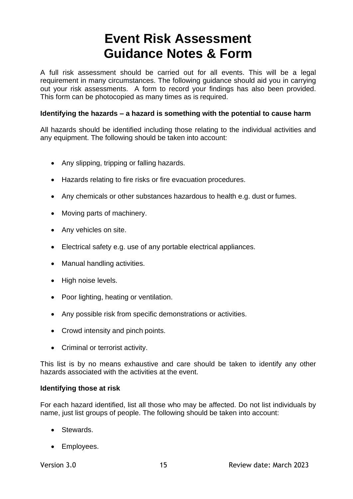## **Event Risk Assessment Guidance Notes & Form**

A full risk assessment should be carried out for all events. This will be a legal requirement in many circumstances. The following guidance should aid you in carrying out your risk assessments. A form to record your findings has also been provided. This form can be photocopied as many times as is required.

## **Identifying the hazards – a hazard is something with the potential to cause harm**

All hazards should be identified including those relating to the individual activities and any equipment. The following should be taken into account:

- Any slipping, tripping or falling hazards.
- Hazards relating to fire risks or fire evacuation procedures.
- Any chemicals or other substances hazardous to health e.g. dust or fumes.
- Moving parts of machinery.
- Any vehicles on site.
- Electrical safety e.g. use of any portable electrical appliances.
- Manual handling activities.
- High noise levels.
- Poor lighting, heating or ventilation.
- Any possible risk from specific demonstrations or activities.
- Crowd intensity and pinch points.
- Criminal or terrorist activity.

This list is by no means exhaustive and care should be taken to identify any other hazards associated with the activities at the event.

## **Identifying those at risk**

For each hazard identified, list all those who may be affected. Do not list individuals by name, just list groups of people. The following should be taken into account:

- Stewards.
- Employees.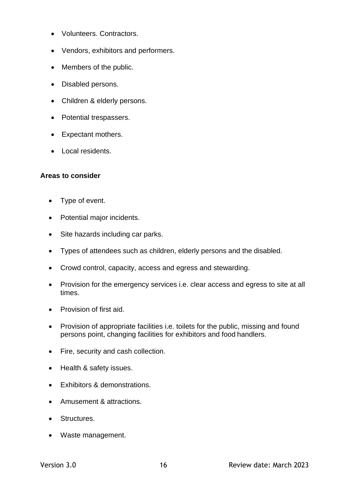- Volunteers. Contractors.
- Vendors, exhibitors and performers.
- Members of the public.
- Disabled persons.
- Children & elderly persons.
- Potential trespassers.
- Expectant mothers.
- Local residents.

## **Areas to consider**

- Type of event.
- Potential major incidents.
- Site hazards including car parks.
- Types of attendees such as children, elderly persons and the disabled.
- Crowd control, capacity, access and egress and stewarding.
- Provision for the emergency services i.e. clear access and egress to site at all times.
- Provision of first aid.
- Provision of appropriate facilities i.e. toilets for the public, missing and found persons point, changing facilities for exhibitors and food handlers.
- Fire, security and cash collection.
- Health & safety issues.
- Exhibitors & demonstrations.
- Amusement & attractions.
- Structures.
- Waste management.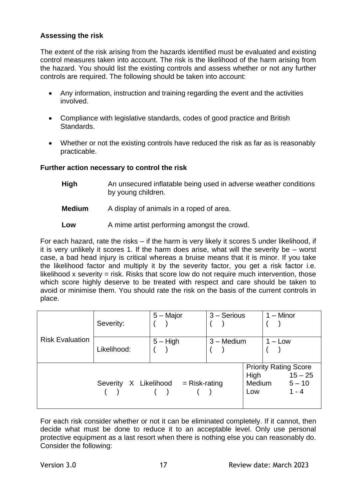### **Assessing the risk**

The extent of the risk arising from the hazards identified must be evaluated and existing control measures taken into account. The risk is the likelihood of the harm arising from the hazard. You should list the existing controls and assess whether or not any further controls are required. The following should be taken into account:

- Any information, instruction and training regarding the event and the activities involved.
- Compliance with legislative standards, codes of good practice and British Standards.
- Whether or not the existing controls have reduced the risk as far as is reasonably practicable.

#### **Further action necessary to control the risk**

- **High** An unsecured inflatable being used in adverse weather conditions by young children.
- **Medium** A display of animals in a roped of area.
- **Low** A mime artist performing amongst the crowd.

For each hazard, rate the risks – if the harm is very likely it scores 5 under likelihood, if it is very unlikely it scores 1. If the harm does arise, what will the severity be – worst case, a bad head injury is critical whereas a bruise means that it is minor. If you take the likelihood factor and multiply it by the severity factor, you get a risk factor i.e. likelihood x severity  $=$  risk. Risks that score low do not require much intervention, those which score highly deserve to be treated with respect and care should be taken to avoid or minimise them. You should rate the risk on the basis of the current controls in place.

|                        | Severity:   | 5 – Major                           | $3 -$ Serious |                       | $1 -$ Minor                                                      |
|------------------------|-------------|-------------------------------------|---------------|-----------------------|------------------------------------------------------------------|
| <b>Risk Evaluation</b> | Likelihood: | $5 - High$                          | $3 -$ Medium  |                       | $1 - Low$                                                        |
|                        |             | Severity X Likelihood = Risk-rating |               | High<br>Medium<br>Low | <b>Priority Rating Score</b><br>$15 - 25$<br>$5 - 10$<br>$1 - 4$ |

For each risk consider whether or not it can be eliminated completely. If it cannot, then decide what must be done to reduce it to an acceptable level. Only use personal protective equipment as a last resort when there is nothing else you can reasonably do. Consider the following: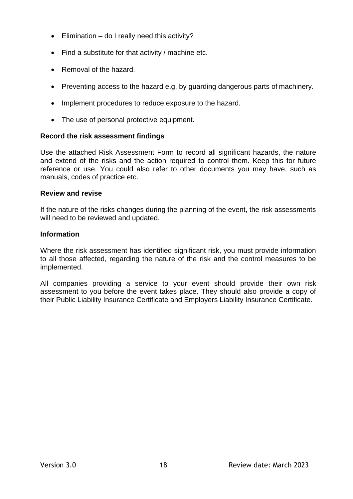- Elimination do I really need this activity?
- Find a substitute for that activity / machine etc.
- Removal of the hazard.
- Preventing access to the hazard e.g. by guarding dangerous parts of machinery.
- Implement procedures to reduce exposure to the hazard.
- The use of personal protective equipment.

## **Record the risk assessment findings**

Use the attached Risk Assessment Form to record all significant hazards, the nature and extend of the risks and the action required to control them. Keep this for future reference or use. You could also refer to other documents you may have, such as manuals, codes of practice etc.

## **Review and revise**

If the nature of the risks changes during the planning of the event, the risk assessments will need to be reviewed and updated.

## **Information**

Where the risk assessment has identified significant risk, you must provide information to all those affected, regarding the nature of the risk and the control measures to be implemented.

All companies providing a service to your event should provide their own risk assessment to you before the event takes place. They should also provide a copy of their Public Liability Insurance Certificate and Employers Liability Insurance Certificate.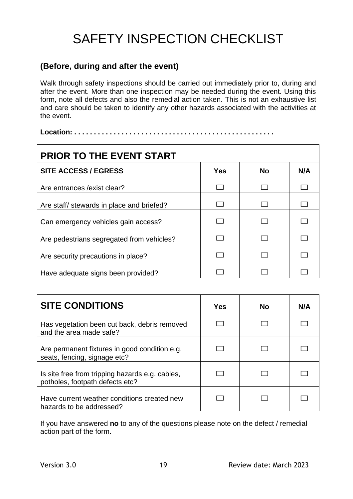## SAFETY INSPECTION CHECKLIST

## **(Before, during and after the event)**

Walk through safety inspections should be carried out immediately prior to, during and after the event. More than one inspection may be needed during the event. Using this form, note all defects and also the remedial action taken. This is not an exhaustive list and care should be taken to identify any other hazards associated with the activities at the event.

**Location: . . . . . . . . . . . . . . . . . . . . . . . . . . . . . . . . . . . . . . . . . . . . . . . . . . .**

| <b>PRIOR TO THE EVENT START</b>           |            |           |     |
|-------------------------------------------|------------|-----------|-----|
| <b>SITE ACCESS / EGRESS</b>               | <b>Yes</b> | <b>No</b> | N/A |
| Are entrances / exist clear?              |            |           |     |
| Are staff/ stewards in place and briefed? |            |           |     |
| Can emergency vehicles gain access?       |            |           |     |
| Are pedestrians segregated from vehicles? |            |           |     |
| Are security precautions in place?        |            |           |     |
| Have adequate signs been provided?        |            |           |     |

| <b>SITE CONDITIONS</b>                                                             | Yes | <b>No</b> | N/A |
|------------------------------------------------------------------------------------|-----|-----------|-----|
| Has vegetation been cut back, debris removed<br>and the area made safe?            |     |           |     |
| Are permanent fixtures in good condition e.g.<br>seats, fencing, signage etc?      |     |           |     |
| Is site free from tripping hazards e.g. cables,<br>potholes, footpath defects etc? |     |           |     |
| Have current weather conditions created new<br>hazards to be addressed?            |     |           |     |

If you have answered **no** to any of the questions please note on the defect / remedial action part of the form.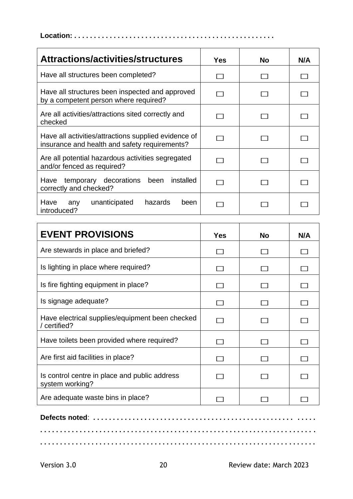**Location: . . . . . . . . . . . . . . . . . . . . . . . . . . . . . . . . . . . . . . . . . . . . . . . . . . .**

| Attractions/activities/structures                                                                     | Yes. | No | N/A |
|-------------------------------------------------------------------------------------------------------|------|----|-----|
| Have all structures been completed?                                                                   |      |    |     |
| Have all structures been inspected and approved<br>by a competent person where required?              |      |    |     |
| Are all activities/attractions sited correctly and<br>checked                                         |      |    |     |
| Have all activities/attractions supplied evidence of<br>insurance and health and safety requirements? |      |    |     |
| Are all potential hazardous activities segregated<br>and/or fenced as required?                       |      |    |     |
| installed<br>temporary decorations been<br>Have<br>correctly and checked?                             |      |    |     |
| hazards<br>Have<br>unanticipated<br>been<br>any<br>introduced?                                        |      |    |     |

| <b>EVENT PROVISIONS</b>                                          | Yes | <b>No</b> | N/A |
|------------------------------------------------------------------|-----|-----------|-----|
| Are stewards in place and briefed?                               |     |           |     |
| Is lighting in place where required?                             |     |           |     |
| Is fire fighting equipment in place?                             |     |           |     |
| Is signage adequate?                                             |     |           |     |
| Have electrical supplies/equipment been checked<br>/ certified?  |     |           |     |
| Have toilets been provided where required?                       |     |           |     |
| Are first aid facilities in place?                               |     |           |     |
| Is control centre in place and public address<br>system working? |     |           |     |
| Are adequate waste bins in place?                                |     |           |     |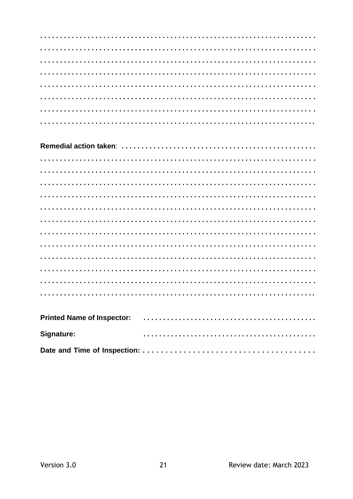| Signature: |  |  |  |
|------------|--|--|--|
|            |  |  |  |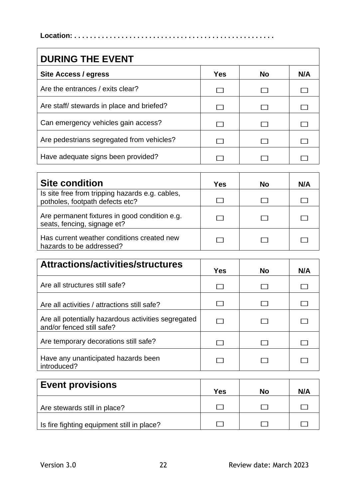**Location: . . . . . . . . . . . . . . . . . . . . . . . . . . . . . . . . . . . . . . . . . . . . . . . . . . .**

| <b>DURING THE EVENT</b>                   |            |           |     |
|-------------------------------------------|------------|-----------|-----|
| Site Access / egress                      | <b>Yes</b> | <b>No</b> | N/A |
| Are the entrances / exits clear?          | . .        |           |     |
| Are staff/ stewards in place and briefed? |            |           |     |
| Can emergency vehicles gain access?       |            |           |     |
| Are pedestrians segregated from vehicles? |            |           |     |
| Have adequate signs been provided?        |            |           |     |

| <b>Site condition</b>                                                              | Yes | Nο | N/A |
|------------------------------------------------------------------------------------|-----|----|-----|
| Is site free from tripping hazards e.g. cables,<br>potholes, footpath defects etc? |     |    |     |
| Are permanent fixtures in good condition e.g.<br>seats, fencing, signage et?       |     |    |     |
| Has current weather conditions created new<br>hazards to be addressed?             |     |    |     |

| Attractions/activities/structures                                                | Yes | <b>No</b> | N/A |
|----------------------------------------------------------------------------------|-----|-----------|-----|
| Are all structures still safe?                                                   |     |           |     |
| Are all activities / attractions still safe?                                     |     |           |     |
| Are all potentially hazardous activities segregated<br>and/or fenced still safe? |     |           |     |
| Are temporary decorations still safe?                                            |     |           |     |
| Have any unanticipated hazards been<br>introduced?                               |     |           |     |

| <b>Event provisions</b>                    | Yes | No | N/A |
|--------------------------------------------|-----|----|-----|
| Are stewards still in place?               |     |    |     |
| Is fire fighting equipment still in place? |     |    |     |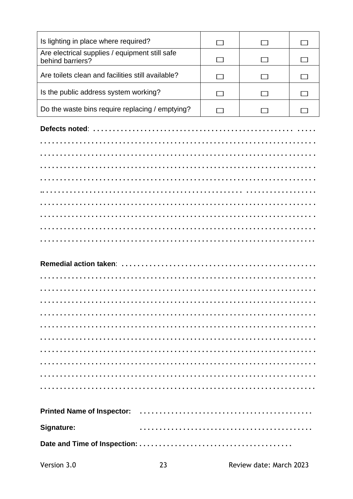| Is lighting in place where required?                               |  |  |
|--------------------------------------------------------------------|--|--|
| Are electrical supplies / equipment still safe<br>behind barriers? |  |  |
| Are toilets clean and facilities still available?                  |  |  |
| Is the public address system working?                              |  |  |
| Do the waste bins require replacing / emptying?                    |  |  |
|                                                                    |  |  |

| Signature: |  |
|------------|--|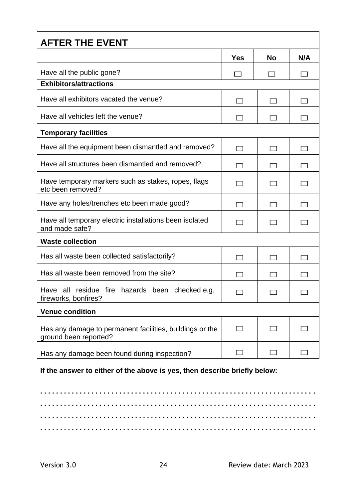| <b>AFTER THE EVENT</b>                                                            |            |    |     |
|-----------------------------------------------------------------------------------|------------|----|-----|
|                                                                                   | <b>Yes</b> | No | N/A |
| Have all the public gone?                                                         |            |    |     |
| <b>Exhibitors/attractions</b>                                                     |            |    |     |
| Have all exhibitors vacated the venue?                                            |            |    |     |
| Have all vehicles left the venue?                                                 |            |    |     |
| <b>Temporary facilities</b>                                                       |            |    |     |
| Have all the equipment been dismantled and removed?                               |            |    |     |
| Have all structures been dismantled and removed?                                  |            |    |     |
| Have temporary markers such as stakes, ropes, flags<br>etc been removed?          |            |    |     |
| Have any holes/trenches etc been made good?                                       |            |    |     |
| Have all temporary electric installations been isolated<br>and made safe?         |            |    |     |
| <b>Waste collection</b>                                                           |            |    |     |
| Has all waste been collected satisfactorily?                                      |            |    |     |
| Has all waste been removed from the site?                                         |            |    |     |
| Have all residue fire hazards been checked e.g.<br>fireworks, bonfires?           |            |    |     |
| <b>Venue condition</b>                                                            |            |    |     |
| Has any damage to permanent facilities, buildings or the<br>ground been reported? | $\sim$     |    |     |
| Has any damage been found during inspection?                                      |            |    |     |

**If the answer to either of the above is yes, then describe briefly below:**

**. . . . . . . . . . . . . . . . . . . . . . . . . . . . . . . . . . . . . . . . . . . . . . . . . . . . . . . . . . . . . . . . . . . . . . . . . . . . . . . . . . . . . . . . . . . . . . . . . . . . . . . . . . . . . . . . . . . . . . . . . . . . . . . . . . . . . . . . . . . . . . . . . . . . . . . . . . . . . . . . . . . . . . . . . . . . . . . . . . . . . . . . . . . . . . . . . . . . . . . . . . . . . . . . . . . . . . . . . . . . . . . . . . . . . . . . . . . . . . . . . . . . . . . . . . . . . . . . . . . . . . . . . . . . . . . . . . . . . . . .**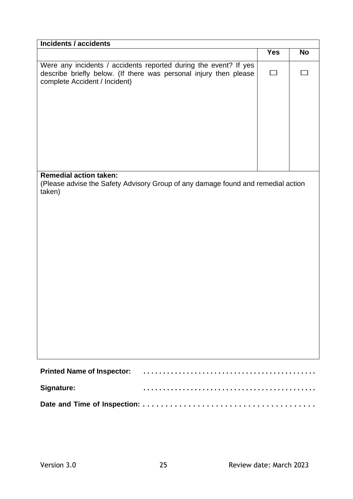| <b>Incidents / accidents</b>                                                                                                                                           |               |           |
|------------------------------------------------------------------------------------------------------------------------------------------------------------------------|---------------|-----------|
|                                                                                                                                                                        | <b>Yes</b>    | <b>No</b> |
| Were any incidents / accidents reported during the event? If yes<br>describe briefly below. (If there was personal injury then please<br>complete Accident / Incident) | $\mathcal{L}$ |           |
|                                                                                                                                                                        |               |           |
|                                                                                                                                                                        |               |           |
| <b>Remedial action taken:</b><br>(Please advise the Safety Advisory Group of any damage found and remedial action<br>taken)                                            |               |           |
| <b>Printed Name of Inspector:</b>                                                                                                                                      |               |           |
| Signature:                                                                                                                                                             |               |           |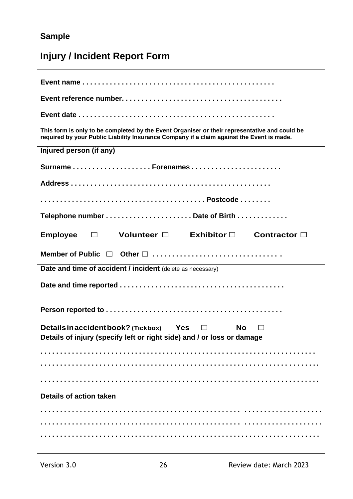## **Sample**

## **Injury / Incident Report Form**

| This form is only to be completed by the Event Organiser or their representative and could be<br>required by your Public Liability Insurance Company if a claim against the Event is made. |
|--------------------------------------------------------------------------------------------------------------------------------------------------------------------------------------------|
| Injured person (if any)                                                                                                                                                                    |
| SurnameForenames                                                                                                                                                                           |
|                                                                                                                                                                                            |
|                                                                                                                                                                                            |
|                                                                                                                                                                                            |
| Employee $\square$ Volunteer $\square$ Exhibitor $\square$<br>Contractor $\Box$                                                                                                            |
|                                                                                                                                                                                            |
| Date and time of accident / incident (delete as necessary)                                                                                                                                 |
|                                                                                                                                                                                            |
|                                                                                                                                                                                            |
| Details in accident book? (Tickbox) Yes $\Box$<br>No $\Box$                                                                                                                                |
| Details of injury (specify left or right side) and / or loss or damage                                                                                                                     |
|                                                                                                                                                                                            |
|                                                                                                                                                                                            |
|                                                                                                                                                                                            |
| <b>Details of action taken</b>                                                                                                                                                             |
|                                                                                                                                                                                            |
|                                                                                                                                                                                            |
|                                                                                                                                                                                            |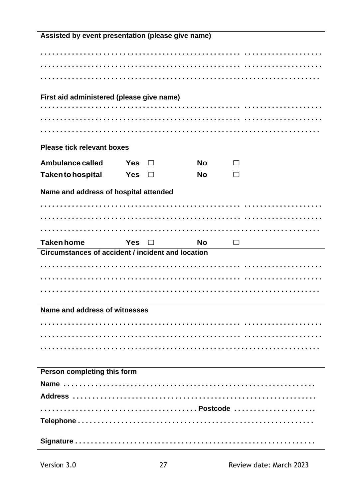| Assisted by event presentation (please give name)        |            |        |           |   |  |
|----------------------------------------------------------|------------|--------|-----------|---|--|
|                                                          |            |        |           |   |  |
|                                                          |            |        |           |   |  |
|                                                          |            |        |           |   |  |
|                                                          |            |        |           |   |  |
| First aid administered (please give name)                |            |        |           |   |  |
|                                                          |            |        |           |   |  |
|                                                          |            |        |           |   |  |
|                                                          |            |        |           |   |  |
|                                                          |            |        |           |   |  |
| <b>Please tick relevant boxes</b>                        |            |        |           |   |  |
| Ambulance called                                         | Yes        |        | <b>No</b> |   |  |
| <b>Takento hospital</b>                                  | Yes        |        | <b>No</b> |   |  |
|                                                          |            |        |           |   |  |
| Name and address of hospital attended                    |            |        |           |   |  |
|                                                          |            |        |           |   |  |
|                                                          |            |        |           |   |  |
|                                                          |            |        |           |   |  |
| <b>Taken home</b>                                        | <b>Yes</b> | $\Box$ | <b>No</b> | П |  |
| <b>Circumstances of accident / incident and location</b> |            |        |           |   |  |
|                                                          |            |        |           |   |  |
|                                                          |            |        |           |   |  |
|                                                          |            |        |           |   |  |
|                                                          |            |        |           |   |  |
| Name and address of witnesses                            |            |        |           |   |  |
|                                                          |            |        |           |   |  |
|                                                          |            |        |           |   |  |
|                                                          |            |        |           |   |  |
|                                                          |            |        |           |   |  |
| Person completing this form                              |            |        |           |   |  |
|                                                          |            |        |           |   |  |
|                                                          |            |        |           |   |  |
|                                                          |            |        |           |   |  |
|                                                          |            |        |           |   |  |
|                                                          |            |        |           |   |  |
|                                                          |            |        |           |   |  |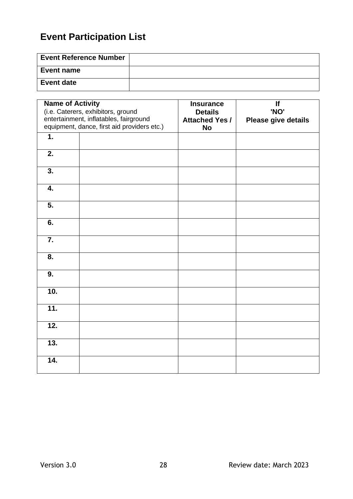## **Event Participation List**

| <b>Event Reference Number</b> |  |
|-------------------------------|--|
| <b>Event name</b>             |  |
| <b>Event date</b>             |  |

| <b>Name of Activity</b><br>(i.e. Caterers, exhibitors, ground<br>entertainment, inflatables, fairground<br>equipment, dance, first aid providers etc.) |  | <b>Insurance</b><br><b>Details</b><br><b>Attached Yes /</b><br><b>No</b> | If<br>'NO'<br>Please give details |
|--------------------------------------------------------------------------------------------------------------------------------------------------------|--|--------------------------------------------------------------------------|-----------------------------------|
| $\overline{1}$ .                                                                                                                                       |  |                                                                          |                                   |
| 2.                                                                                                                                                     |  |                                                                          |                                   |
| $\overline{3}$ .                                                                                                                                       |  |                                                                          |                                   |
| 4.                                                                                                                                                     |  |                                                                          |                                   |
| 5.                                                                                                                                                     |  |                                                                          |                                   |
| 6.                                                                                                                                                     |  |                                                                          |                                   |
| $\overline{7}$ .                                                                                                                                       |  |                                                                          |                                   |
| 8.                                                                                                                                                     |  |                                                                          |                                   |
| $\overline{9}$ .                                                                                                                                       |  |                                                                          |                                   |
| 10.                                                                                                                                                    |  |                                                                          |                                   |
| 11.                                                                                                                                                    |  |                                                                          |                                   |
| 12.                                                                                                                                                    |  |                                                                          |                                   |
| 13.                                                                                                                                                    |  |                                                                          |                                   |
| 14.                                                                                                                                                    |  |                                                                          |                                   |